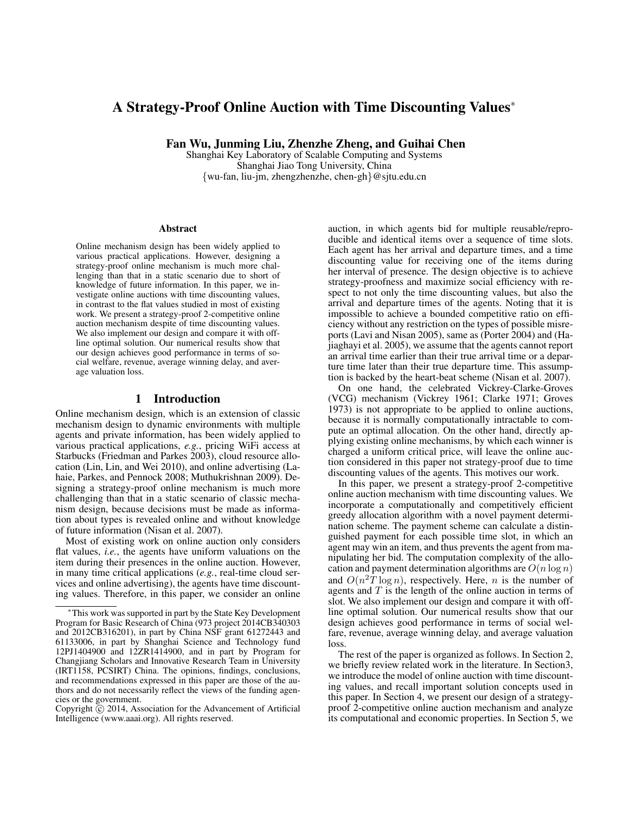# A Strategy-Proof Online Auction with Time Discounting Values<sup>∗</sup>

Fan Wu, Junming Liu, Zhenzhe Zheng, and Guihai Chen

Shanghai Key Laboratory of Scalable Computing and Systems Shanghai Jiao Tong University, China {wu-fan, liu-jm, zhengzhenzhe, chen-gh}@sjtu.edu.cn

#### Abstract

Online mechanism design has been widely applied to various practical applications. However, designing a strategy-proof online mechanism is much more challenging than that in a static scenario due to short of knowledge of future information. In this paper, we investigate online auctions with time discounting values, in contrast to the flat values studied in most of existing work. We present a strategy-proof 2-competitive online auction mechanism despite of time discounting values. We also implement our design and compare it with offline optimal solution. Our numerical results show that our design achieves good performance in terms of social welfare, revenue, average winning delay, and average valuation loss.

# 1 Introduction

Online mechanism design, which is an extension of classic mechanism design to dynamic environments with multiple agents and private information, has been widely applied to various practical applications, *e.g.*, pricing WiFi access at Starbucks (Friedman and Parkes 2003), cloud resource allocation (Lin, Lin, and Wei 2010), and online advertising (Lahaie, Parkes, and Pennock 2008; Muthukrishnan 2009). Designing a strategy-proof online mechanism is much more challenging than that in a static scenario of classic mechanism design, because decisions must be made as information about types is revealed online and without knowledge of future information (Nisan et al. 2007).

Most of existing work on online auction only considers flat values, *i.e.*, the agents have uniform valuations on the item during their presences in the online auction. However, in many time critical applications (*e.g.*, real-time cloud services and online advertising), the agents have time discounting values. Therefore, in this paper, we consider an online

auction, in which agents bid for multiple reusable/reproducible and identical items over a sequence of time slots. Each agent has her arrival and departure times, and a time discounting value for receiving one of the items during her interval of presence. The design objective is to achieve strategy-proofness and maximize social efficiency with respect to not only the time discounting values, but also the arrival and departure times of the agents. Noting that it is impossible to achieve a bounded competitive ratio on efficiency without any restriction on the types of possible misreports (Lavi and Nisan 2005), same as (Porter 2004) and (Hajiaghayi et al. 2005), we assume that the agents cannot report an arrival time earlier than their true arrival time or a departure time later than their true departure time. This assumption is backed by the heart-beat scheme (Nisan et al. 2007).

On one hand, the celebrated Vickrey-Clarke-Groves (VCG) mechanism (Vickrey 1961; Clarke 1971; Groves 1973) is not appropriate to be applied to online auctions, because it is normally computationally intractable to compute an optimal allocation. On the other hand, directly applying existing online mechanisms, by which each winner is charged a uniform critical price, will leave the online auction considered in this paper not strategy-proof due to time discounting values of the agents. This motives our work.

In this paper, we present a strategy-proof 2-competitive online auction mechanism with time discounting values. We incorporate a computationally and competitively efficient greedy allocation algorithm with a novel payment determination scheme. The payment scheme can calculate a distinguished payment for each possible time slot, in which an agent may win an item, and thus prevents the agent from manipulating her bid. The computation complexity of the allocation and payment determination algorithms are  $O(n \log n)$ and  $O(n^2T \log n)$ , respectively. Here, n is the number of agents and  $T$  is the length of the online auction in terms of slot. We also implement our design and compare it with offline optimal solution. Our numerical results show that our design achieves good performance in terms of social welfare, revenue, average winning delay, and average valuation loss.

The rest of the paper is organized as follows. In Section 2, we briefly review related work in the literature. In Section3, we introduce the model of online auction with time discounting values, and recall important solution concepts used in this paper. In Section 4, we present our design of a strategyproof 2-competitive online auction mechanism and analyze its computational and economic properties. In Section 5, we

<sup>∗</sup>This work was supported in part by the State Key Development Program for Basic Research of China (973 project 2014CB340303 and 2012CB316201), in part by China NSF grant 61272443 and 61133006, in part by Shanghai Science and Technology fund 12PJ1404900 and 12ZR1414900, and in part by Program for Changjiang Scholars and Innovative Research Team in University (IRT1158, PCSIRT) China. The opinions, findings, conclusions, and recommendations expressed in this paper are those of the authors and do not necessarily reflect the views of the funding agencies or the government.

Copyright © 2014, Association for the Advancement of Artificial Intelligence (www.aaai.org). All rights reserved.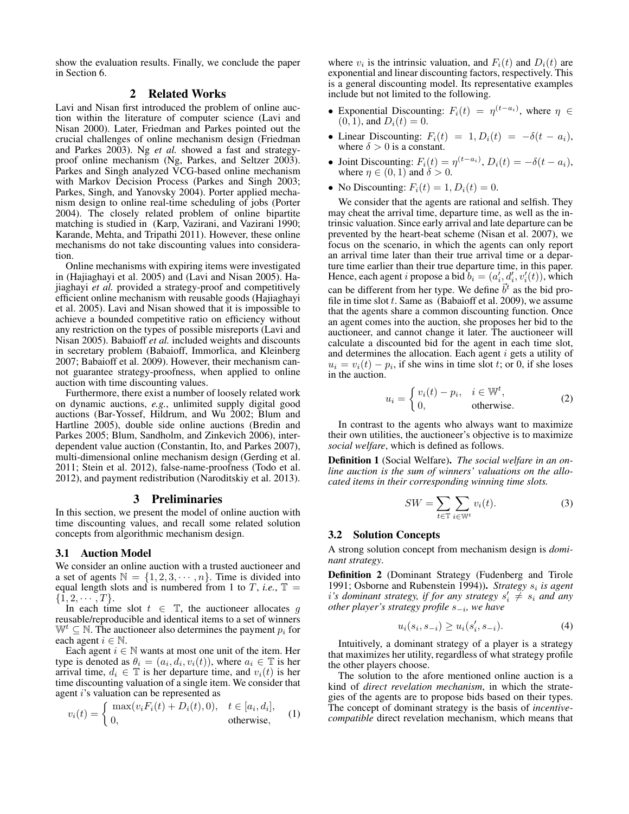show the evaluation results. Finally, we conclude the paper in Section 6.

# 2 Related Works

Lavi and Nisan first introduced the problem of online auction within the literature of computer science (Lavi and Nisan 2000). Later, Friedman and Parkes pointed out the crucial challenges of online mechanism design (Friedman and Parkes 2003). Ng *et al.* showed a fast and strategyproof online mechanism (Ng, Parkes, and Seltzer 2003). Parkes and Singh analyzed VCG-based online mechanism with Markov Decision Process (Parkes and Singh 2003; Parkes, Singh, and Yanovsky 2004). Porter applied mechanism design to online real-time scheduling of jobs (Porter 2004). The closely related problem of online bipartite matching is studied in (Karp, Vazirani, and Vazirani 1990; Karande, Mehta, and Tripathi 2011). However, these online mechanisms do not take discounting values into consideration.

Online mechanisms with expiring items were investigated in (Hajiaghayi et al. 2005) and (Lavi and Nisan 2005). Hajiaghayi *et al.* provided a strategy-proof and competitively efficient online mechanism with reusable goods (Hajiaghayi et al. 2005). Lavi and Nisan showed that it is impossible to achieve a bounded competitive ratio on efficiency without any restriction on the types of possible misreports (Lavi and Nisan 2005). Babaioff *et al.* included weights and discounts in secretary problem (Babaioff, Immorlica, and Kleinberg 2007; Babaioff et al. 2009). However, their mechanism cannot guarantee strategy-proofness, when applied to online auction with time discounting values.

Furthermore, there exist a number of loosely related work on dynamic auctions, *e.g.*, unlimited supply digital good auctions (Bar-Yossef, Hildrum, and Wu 2002; Blum and Hartline 2005), double side online auctions (Bredin and Parkes 2005; Blum, Sandholm, and Zinkevich 2006), interdependent value auction (Constantin, Ito, and Parkes 2007), multi-dimensional online mechanism design (Gerding et al. 2011; Stein et al. 2012), false-name-proofness (Todo et al. 2012), and payment redistribution (Naroditskiy et al. 2013).

# 3 Preliminaries

In this section, we present the model of online auction with time discounting values, and recall some related solution concepts from algorithmic mechanism design.

#### 3.1 Auction Model

We consider an online auction with a trusted auctioneer and a set of agents  $\mathbb{N} = \{1, 2, 3, \cdots, n\}$ . Time is divided into equal length slots and is numbered from 1 to T, *i.e.*,  $\mathbb{T}$  =  $\{1, 2, \cdots, T\}.$ 

In each time slot  $t \in \mathbb{T}$ , the auctioneer allocates g reusable/reproducible and identical items to a set of winners  $W^t \subseteq \mathbb{N}$ . The auctioneer also determines the payment  $p_i$  for each agent  $i \in \mathbb{N}$ .

Each agent  $i \in \mathbb{N}$  wants at most one unit of the item. Her type is denoted as  $\theta_i = (a_i, d_i, v_i(t))$ , where  $a_i \in \mathbb{T}$  is her arrival time,  $d_i \in \mathbb{T}$  is her departure time, and  $v_i(t)$  is her time discounting valuation of a single item. We consider that agent *i*'s valuation can be represented as

$$
v_i(t) = \begin{cases} \max(v_i F_i(t) + D_i(t), 0), & t \in [a_i, d_i], \\ 0, & \text{otherwise,} \end{cases}
$$
 (1)

where  $v_i$  is the intrinsic valuation, and  $F_i(t)$  and  $D_i(t)$  are exponential and linear discounting factors, respectively. This is a general discounting model. Its representative examples include but not limited to the following.

- Exponential Discounting:  $F_i(t) = \eta^{(t-a_i)}$ , where  $\eta \in$  $(0, 1)$ , and  $D_i(t) = 0$ .
- Linear Discounting:  $F_i(t) = 1, D_i(t) = -\delta(t a_i)$ , where  $\delta > 0$  is a constant.
- Joint Discounting:  $F_i(t) = \eta^{(t-a_i)}$ ,  $D_i(t) = -\delta(t-a_i)$ , where  $\eta \in (0, 1)$  and  $\delta > 0$ .
- No Discounting:  $F_i(t) = 1, D_i(t) = 0$ .

We consider that the agents are rational and selfish. They may cheat the arrival time, departure time, as well as the intrinsic valuation. Since early arrival and late departure can be prevented by the heart-beat scheme (Nisan et al. 2007), we focus on the scenario, in which the agents can only report an arrival time later than their true arrival time or a departure time earlier than their true departure time, in this paper. Hence, each agent *i* propose a bid  $b_i = (a'_i, d'_i, v'_i(t))$ , which can be different from her type. We define  $\vec{b}^t$  as the bid profile in time slot  $t$ . Same as (Babaioff et al. 2009), we assume that the agents share a common discounting function. Once an agent comes into the auction, she proposes her bid to the auctioneer, and cannot change it later. The auctioneer will calculate a discounted bid for the agent in each time slot, and determines the allocation. Each agent  $i$  gets a utility of  $u_i = v_i(t) - p_i$ , if she wins in time slot t; or 0, if she loses in the auction.

$$
u_i = \begin{cases} v_i(t) - p_i, & i \in \mathbb{W}^t, \\ 0, & \text{otherwise.} \end{cases}
$$
 (2)

In contrast to the agents who always want to maximize their own utilities, the auctioneer's objective is to maximize *social welfare*, which is defined as follows.

Definition 1 (Social Welfare). *The social welfare in an online auction is the sum of winners' valuations on the allocated items in their corresponding winning time slots.*

$$
SW = \sum_{t \in \mathbb{T}} \sum_{i \in \mathbb{W}^t} v_i(t). \tag{3}
$$

# 3.2 Solution Concepts

A strong solution concept from mechanism design is *dominant strategy*.

Definition 2 (Dominant Strategy (Fudenberg and Tirole 1991; Osborne and Rubenstein 1994)). *Strategy*  $s_i$  is agent *i*'s dominant strategy, if for any strategy  $s_i' \neq s_i$  and any *other player's strategy profile* s<sup>−</sup><sup>i</sup> *, we have*

$$
u_i(s_i, s_{-i}) \ge u_i(s'_i, s_{-i}).
$$
\n(4)

Intuitively, a dominant strategy of a player is a strategy that maximizes her utility, regardless of what strategy profile the other players choose.

The solution to the afore mentioned online auction is a kind of *direct revelation mechanism*, in which the strategies of the agents are to propose bids based on their types. The concept of dominant strategy is the basis of *incentivecompatible* direct revelation mechanism, which means that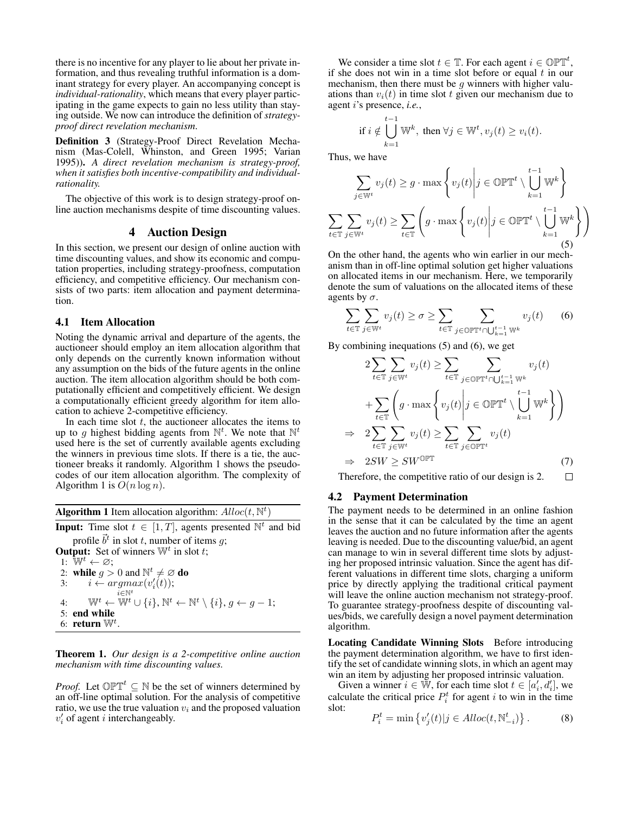there is no incentive for any player to lie about her private information, and thus revealing truthful information is a dominant strategy for every player. An accompanying concept is *individual-rationality*, which means that every player participating in the game expects to gain no less utility than staying outside. We now can introduce the definition of *strategyproof direct revelation mechanism*.

Definition 3 (Strategy-Proof Direct Revelation Mechanism (Mas-Colell, Whinston, and Green 1995; Varian 1995)). *A direct revelation mechanism is strategy-proof, when it satisfies both incentive-compatibility and individualrationality.*

The objective of this work is to design strategy-proof online auction mechanisms despite of time discounting values.

#### 4 Auction Design

In this section, we present our design of online auction with time discounting values, and show its economic and computation properties, including strategy-proofness, computation efficiency, and competitive efficiency. Our mechanism consists of two parts: item allocation and payment determination.

### 4.1 Item Allocation

Noting the dynamic arrival and departure of the agents, the auctioneer should employ an item allocation algorithm that only depends on the currently known information without any assumption on the bids of the future agents in the online auction. The item allocation algorithm should be both computationally efficient and competitively efficient. We design a computationally efficient greedy algorithm for item allocation to achieve 2-competitive efficiency.

In each time slot  $t$ , the auctioneer allocates the items to up to g highest bidding agents from  $\mathbb{N}^t$ . We note that  $\mathbb{N}^t$ used here is the set of currently available agents excluding the winners in previous time slots. If there is a tie, the auctioneer breaks it randomly. Algorithm 1 shows the pseudocodes of our item allocation algorithm. The complexity of Algorithm 1 is  $O(n \log n)$ .

| <b>Algorithm 1</b> Item allocation algorithm: $A l loc(t, \mathbb{N}^t)$                                                         |
|----------------------------------------------------------------------------------------------------------------------------------|
| <b>Input:</b> Time slot $t \in [1, T]$ , agents presented $\mathbb{N}^t$ and bid                                                 |
| profile $\vec{b}^t$ in slot t, number of items g;                                                                                |
| <b>Output:</b> Set of winners $W^t$ in slot t;                                                                                   |
| 1: $\mathbb{W}^t \leftarrow \varnothing$ :                                                                                       |
| 2: while $q > 0$ and $\mathbb{N}^t \neq \emptyset$ do                                                                            |
| 3: $i \leftarrow argmax(v'_i(t));$                                                                                               |
| $i \in \mathbb{N}^t$                                                                                                             |
| $\mathbb{W}^t \leftarrow \mathbb{W}^t \cup \{i\}, \mathbb{N}^t \leftarrow \mathbb{N}^t \setminus \{i\}, q \leftarrow q-1;$<br>4: |
| 5: end while                                                                                                                     |
| 6: return $\mathbb{W}^t$ .                                                                                                       |

Theorem 1. *Our design is a 2-competitive online auction mechanism with time discounting values.*

*Proof.* Let  $\mathbb{OPT}^t \subset \mathbb{N}$  be the set of winners determined by an off-line optimal solution. For the analysis of competitive ratio, we use the true valuation  $v_i$  and the proposed valuation  $v_i'$  of agent i interchangeably.

We consider a time slot  $t \in \mathbb{T}$ . For each agent  $i \in \mathbb{OPT}^t$ , if she does not win in a time slot before or equal  $t$  in our mechanism, then there must be  $q$  winners with higher valuations than  $v_i(t)$  in time slot t given our mechanism due to agent i's presence, *i.e.*,

$$
\text{if } i \notin \bigcup_{k=1}^{t-1} \mathbb{W}^k, \text{ then } \forall j \in \mathbb{W}^t, v_j(t) \ge v_i(t).
$$

Thus, we have

$$
\sum_{j \in \mathbb{W}^t} v_j(t) \ge g \cdot \max\left\{v_j(t) \middle| j \in \mathbb{OPT}^t \setminus \bigcup_{k=1}^{t-1} \mathbb{W}^k\right\}
$$

$$
\sum_{t \in \mathbb{T}} \sum_{j \in \mathbb{W}^t} v_j(t) \ge \sum_{t \in \mathbb{T}} \left(g \cdot \max\left\{v_j(t) \middle| j \in \mathbb{OPT}^t \setminus \bigcup_{k=1}^{t-1} \mathbb{W}^k\right\}\right)
$$
(5)

On the other hand, the agents who win earlier in our mechanism than in off-line optimal solution get higher valuations on allocated items in our mechanism. Here, we temporarily denote the sum of valuations on the allocated items of these agents by  $\sigma$ .

$$
\sum_{t \in \mathbb{T}} \sum_{j \in \mathbb{W}^t} v_j(t) \ge \sigma \ge \sum_{t \in \mathbb{T}} \sum_{j \in \mathbb{OPT}^t \cap \bigcup_{k=1}^{t-1} \mathbb{W}^k} v_j(t) \qquad (6)
$$

By combining inequations (5) and (6), we get

$$
2\sum_{t\in\mathbb{T}}\sum_{j\in\mathbb{W}^t}v_j(t) \ge \sum_{t\in\mathbb{T}}\sum_{j\in\mathbb{OPT}^t\cap\bigcup_{k=1}^{t-1}\mathbb{W}^k}v_j(t)
$$
  
+ 
$$
\sum_{t\in\mathbb{T}}\left(g\cdot\max\left\{v_j(t)\middle|j\in\mathbb{OPT}^t\setminus\bigcup_{k=1}^{t-1}\mathbb{W}^k\right\}\right)
$$
  

$$
\Rightarrow 2\sum_{t\in\mathbb{T}}\sum_{j\in\mathbb{W}^t}v_j(t) \ge \sum_{t\in\mathbb{T}}\sum_{j\in\mathbb{OPT}^t}v_j(t)
$$
  

$$
\Rightarrow 2SW \ge SW^{\mathbb{OPT}}
$$
 (7)

 $\Box$ Therefore, the competitive ratio of our design is 2.

### 4.2 Payment Determination

The payment needs to be determined in an online fashion in the sense that it can be calculated by the time an agent leaves the auction and no future information after the agents leaving is needed. Due to the discounting value/bid, an agent can manage to win in several different time slots by adjusting her proposed intrinsic valuation. Since the agent has different valuations in different time slots, charging a uniform price by directly applying the traditional critical payment will leave the online auction mechanism not strategy-proof. To guarantee strategy-proofness despite of discounting values/bids, we carefully design a novel payment determination algorithm.

Locating Candidate Winning Slots Before introducing the payment determination algorithm, we have to first identify the set of candidate winning slots, in which an agent may win an item by adjusting her proposed intrinsic valuation.

Given a winner  $i \in \mathbb{W}$ , for each time slot  $t \in [a'_i, d'_i]$ , we calculate the critical price  $P_i^t$  for agent i to win in the time slot:

$$
P_i^t = \min \left\{ v_j'(t) | j \in \text{Alloc}(t, \mathbb{N}_{-i}^t) \right\}. \tag{8}
$$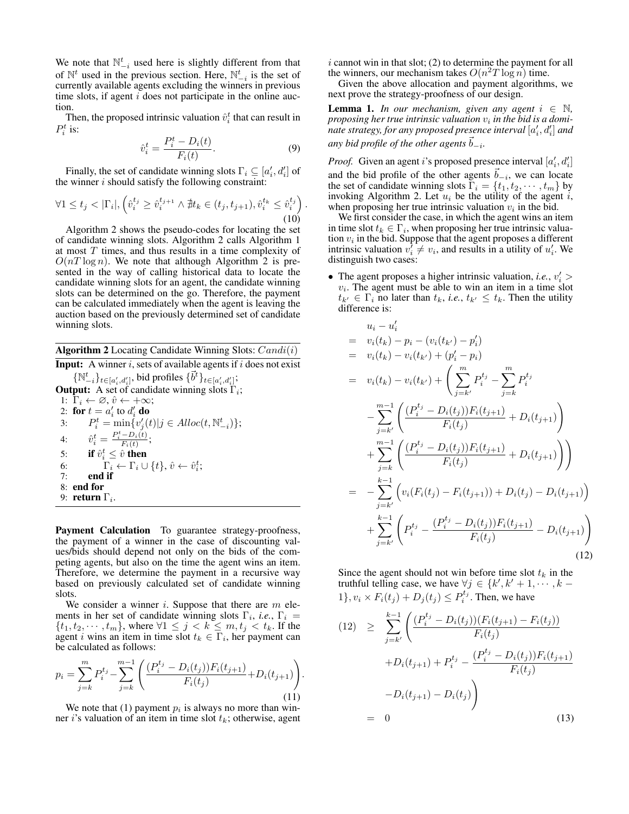We note that  $\mathbb{N}_{-i}^t$  used here is slightly different from that of  $\mathbb{N}^t$  used in the previous section. Here,  $\mathbb{N}_{-i}^t$  is the set of currently available agents excluding the winners in previous time slots, if agent  $i$  does not participate in the online auction.

Then, the proposed intrinsic valuation  $\hat{v}_i^t$  that can result in  $P_i^t$  is:

$$
\hat{v}_i^t = \frac{P_i^t - D_i(t)}{F_i(t)}.\tag{9}
$$

Finally, the set of candidate winning slots  $\Gamma_i \subseteq [a'_i, d'_i]$  of the winner  $i$  should satisfy the following constraint:

$$
\forall 1 \le t_j < |\Gamma_i|, \left(\hat{v}_i^{t_j} \ge \hat{v}_i^{t_{j+1}} \land \nexists t_k \in (t_j, t_{j+1}), \hat{v}_i^{t_k} \le \hat{v}_i^{t_j}\right). \tag{10}
$$

Algorithm 2 shows the pseudo-codes for locating the set of candidate winning slots. Algorithm 2 calls Algorithm 1 at most T times, and thus results in a time complexity of  $O(nT \log n)$ . We note that although Algorithm 2 is presented in the way of calling historical data to locate the candidate winning slots for an agent, the candidate winning slots can be determined on the go. Therefore, the payment can be calculated immediately when the agent is leaving the auction based on the previously determined set of candidate winning slots.

Algorithm 2 Locating Candidate Winning Slots: Candi(i)

**Input:** A winner  $i$ , sets of available agents if  $i$  does not exist  $\{ \mathbb{N}_{-i}^t \}_{t \in [a'_i, d'_i]}$ , bid profiles  $\{ \vec{b}^t \}_{t \in [a'_i, d'_i]}$ ; **Output:** A set of candidate winning slots  $\Gamma_i$ ; 1:  $\Gamma_i \leftarrow \emptyset, \hat{v} \leftarrow +\infty;$ 2: for  $t = a'_i$  to  $d'_i$  do 3:  $P_i^t = \min \{ v_j'(t) | j \in Alloc(t, \mathbb{N}_{-i}^t) \};$ 4:  $\hat{v}_i^t = \frac{P_i^t - D_i(t)}{F_i(t)}$ ; 5: if  $\hat{v}_i^t \leq \hat{v}$  then 6:  $\Gamma_i \leftarrow \Gamma_i \cup \{t\}, \hat{v} \leftarrow \hat{v}_i^t;$ 7: end if 8: end for 9: **return**  $\Gamma_i$ .

Payment Calculation To guarantee strategy-proofness, the payment of a winner in the case of discounting values/bids should depend not only on the bids of the competing agents, but also on the time the agent wins an item. Therefore, we determine the payment in a recursive way based on previously calculated set of candidate winning slots.

We consider a winner  $i$ . Suppose that there are  $m$  elements in her set of candidate winning slots  $\Gamma_i$ , *i.e.*,  $\Gamma_i$  =  $\{t_1, t_2, \dots, t_m\}$ , where  $\forall 1 \leq j \leq k \leq m, t_j \leq t_k$ . If the agent *i* wins an item in time slot  $t_k \in \Gamma_i$ , her payment can be calculated as follows:

$$
p_i = \sum_{j=k}^{m} P_i^{t_j} - \sum_{j=k}^{m-1} \left( \frac{(P_i^{t_j} - D_i(t_j))F_i(t_{j+1})}{F_i(t_j)} + D_i(t_{j+1}) \right). \tag{11}
$$

We note that (1) payment  $p_i$  is always no more than winner i's valuation of an item in time slot  $t_k$ ; otherwise, agent  $i$  cannot win in that slot; (2) to determine the payment for all the winners, our mechanism takes  $O(n^2T \log n)$  time.

Given the above allocation and payment algorithms, we next prove the strategy-proofness of our design.

**Lemma 1.** *In our mechanism, given any agent*  $i \in \mathbb{N}$ , proposing her true intrinsic valuation  $v_i$  in the bid is a dominate strategy, for any proposed presence interval  $[a'_i, d'_i]$  and  $a$ ny bid profile of the other agents  $\vec{b}_{-i}$ .

*Proof.* Given an agent i's proposed presence interval  $[a'_i, d'_i]$ and the bid profile of the other agents  $\vec{b}_{-i}$ , we can locate the set of candidate winning slots  $\overline{\Gamma}_i = \{t_1, t_2, \cdots, t_m\}$  by invoking Algorithm 2. Let  $u_i$  be the utility of the agent i, when proposing her true intrinsic valuation  $v_i$  in the bid.

We first consider the case, in which the agent wins an item in time slot  $t_k \in \Gamma_i$ , when proposing her true intrinsic valuation  $v_i$  in the bid. Suppose that the agent proposes a different intrinsic valuation  $v_i^{\dagger} \neq v_i$ , and results in a utility of  $u_i^{\dagger}$ . We distinguish two cases:

• The agent proposes a higher intrinsic valuation, *i.e.*,  $v_i' >$  $v_i$ . The agent must be able to win an item in a time slot  $t_{k'} \in \Gamma_i$  no later than  $t_k$ , *i.e.*,  $t_{k'} \leq t_k$ . Then the utility difference is:

$$
u_i - u'_i
$$
  
\n
$$
= v_i(t_k) - p_i - (v_i(t_{k'}) - p'_i)
$$
  
\n
$$
= v_i(t_k) - v_i(t_{k'}) + (p'_i - p_i)
$$
  
\n
$$
= v_i(t_k) - v_i(t_{k'}) + \left(\sum_{j=k'}^{m} P_i^{t_j} - \sum_{j=k}^{m} P_i^{t_j}\right)
$$
  
\n
$$
- \sum_{j=k'}^{m-1} \left(\frac{(P_i^{t_j} - D_i(t_j))F_i(t_{j+1})}{F_i(t_j)} + D_i(t_{j+1})\right)
$$
  
\n
$$
+ \sum_{j=k'}^{m-1} \left(\frac{(P_i^{t_j} - D_i(t_j))F_i(t_{j+1})}{F_i(t_j)} + D_i(t_{j+1})\right)
$$
  
\n
$$
= - \sum_{j=k'}^{k-1} \left(v_i(F_i(t_j) - F_i(t_{j+1})) + D_i(t_j) - D_i(t_{j+1})\right)
$$
  
\n
$$
+ \sum_{j=k'}^{k-1} \left(P_i^{t_j} - \frac{(P_i^{t_j} - D_i(t_j))F_i(t_{j+1})}{F_i(t_j)} - D_i(t_{j+1})\right)
$$
  
\n(12)

Since the agent should not win before time slot  $t_k$  in the truthful telling case, we have  $\forall j \in \{k', k' + 1, \cdots, k - \}$  $1\}$ ,  $v_i \times F_i(t_j) + D_j(t_j) \le P_i^{t_j}$ . Then, we have

$$
(12) \geq \sum_{j=k'}^{k-1} \left( \frac{(P_i^{t_j} - D_i(t_j))(F_i(t_{j+1}) - F_i(t_j))}{F_i(t_j)} + D_i(t_{j+1}) + P_i^{t_j} - \frac{(P_i^{t_j} - D_i(t_j))F_i(t_{j+1})}{F_i(t_j)} -D_i(t_{j+1}) - D_i(t_j) \right)
$$
  
= 0 (13)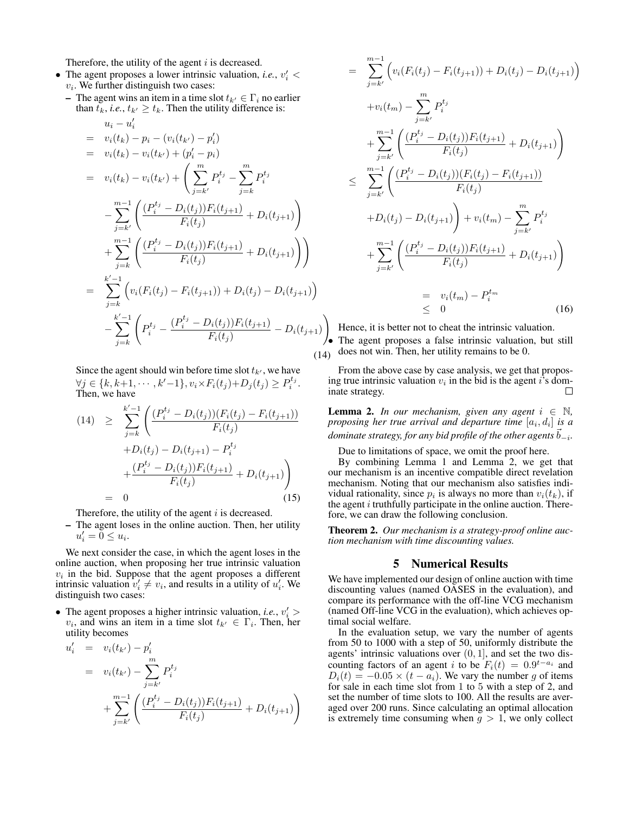Therefore, the utility of the agent  $i$  is decreased.

- The agent proposes a lower intrinsic valuation, *i.e.*,  $v_i'$  <  $v_i$ . We further distinguish two cases:
	- The agent wins an item in a time slot  $t_{k'} \in \Gamma_i$  no earlier than  $t_k$ , *i.e.*,  $t_{k'} \geq t_k$ . Then the utility difference is:

$$
u_i - u'_i
$$
  
\n
$$
= v_i(t_k) - p_i - (v_i(t_{k'}) - p'_i)
$$
  
\n
$$
= v_i(t_k) - v_i(t_{k'}) + (p'_i - p_i)
$$
  
\n
$$
= v_i(t_k) - v_i(t_{k'}) + \left(\sum_{j=k'}^{m} P_i^{t_j} - \sum_{j=k}^{m} P_i^{t_j}\right)
$$
  
\n
$$
- \sum_{j=k'}^{m-1} \left(\frac{(P_i^{t_j} - D_i(t_j))F_i(t_{j+1})}{F_i(t_j)} + D_i(t_{j+1})\right)
$$
  
\n
$$
+ \sum_{j=k}^{m-1} \left(\frac{(P_i^{t_j} - D_i(t_j))F_i(t_{j+1})}{F_i(t_j)} + D_i(t_{j+1})\right)
$$
  
\n
$$
= \sum_{j=k}^{k'-1} \left(v_i(F_i(t_j) - F_i(t_{j+1})) + D_i(t_j) - D_i(t_{j+1})\right)
$$
  
\n
$$
- \sum_{j=k}^{k'-1} \left(P_i^{t_j} - \frac{(P_i^{t_j} - D_i(t_j))F_i(t_{j+1})}{F_i(t_j)} - D_i(t_{j+1})\right)
$$
  
\n(14)

Since the agent should win before time slot  $t_{k}$ , we have  $\forall j \in \{k, k+1, \cdots, k'-1\}, v_i \times F_i(t_j) + D_j(t_j) \ge P_i^{t_j}.$ Then, we have

$$
(14) \geq \sum_{j=k}^{k'-1} \left( \frac{(P_i^{t_j} - D_i(t_j))(F_i(t_j) - F_i(t_{j+1}))}{F_i(t_j)} + D_i(t_j) - D_i(t_{j+1}) - P_i^{t_j} + \frac{(P_i^{t_j} - D_i(t_j))F_i(t_{j+1})}{F_i(t_j)} + D_i(t_{j+1}) \right) = 0
$$
\n
$$
(15)
$$

Therefore, the utility of the agent  $i$  is decreased.

- The agent loses in the online auction. Then, her utility 
$$
u_i' = 0 \le u_i
$$
.

We next consider the case, in which the agent loses in the online auction, when proposing her true intrinsic valuation  $v_i$  in the bid. Suppose that the agent proposes a different intrinsic valuation  $v'_i \neq v_i$ , and results in a utility of  $u'_i$ . We distinguish two cases:

• The agent proposes a higher intrinsic valuation, *i.e.*,  $v_i'$  >  $v_i$ , and wins an item in a time slot  $t_{k'} \in \Gamma_i$ . Then, her utility becomes

$$
u'_{i} = v_{i}(t_{k'}) - p'_{i}
$$
  
=  $v_{i}(t_{k'}) - \sum_{j=k'}^{m} P_{i}^{t_{j}}$   
+  $\sum_{j=k'}^{m-1} \left( \frac{(P_{i}^{t_{j}} - D_{i}(t_{j}))F_{i}(t_{j+1})}{F_{i}(t_{j})} + D_{i}(t_{j+1}) \right)$ 

$$
= \sum_{j=k'}^{m-1} \left( v_i (F_i(t_j) - F_i(t_{j+1})) + D_i(t_j) - D_i(t_{j+1}) \right)
$$
  
+ 
$$
+ v_i(t_m) - \sum_{j=k'}^{m} P_i^{t_j}
$$
  
+ 
$$
\sum_{j=k'}^{m-1} \left( \frac{(P_i^{t_j} - D_i(t_j))F_i(t_{j+1})}{F_i(t_j)} + D_i(t_{j+1}) \right)
$$
  

$$
\leq \sum_{j=k'}^{m-1} \left( \frac{(P_i^{t_j} - D_i(t_j))(F_i(t_j) - F_i(t_{j+1}))}{F_i(t_j)}
$$
  
+ 
$$
D_i(t_j) - D_i(t_{j+1}) \right) + v_i(t_m) - \sum_{j=k'}^{m} P_i^{t_j}
$$
  
+ 
$$
\sum_{j=k'}^{m-1} \left( \frac{(P_i^{t_j} - D_i(t_j))F_i(t_{j+1})}{F_i(t_j)} + D_i(t_{j+1}) \right)
$$
  
= 
$$
v_i(t_m) - P_i^{t_m}
$$
(16)

Hence, it is better not to cheat the intrinsic valuation. The agent proposes a false intrinsic valuation, but still does not win. Then, her utility remains to be 0.

From the above case by case analysis, we get that proposing true intrinsic valuation  $v_i$  in the bid is the agent i's dominate strategy.  $\Box$ 

**Lemma 2.** *In our mechanism, given any agent*  $i \in \mathbb{N}$ , *proposing her true arrival and departure time*  $[a_i, d_i]$  *is a*  $d$ ominate strategy, for any bid profile of the other agents  $\vec{b}_{-i}.$ 

Due to limitations of space, we omit the proof here.

By combining Lemma 1 and Lemma 2, we get that our mechanism is an incentive compatible direct revelation mechanism. Noting that our mechanism also satisfies individual rationality, since  $p_i$  is always no more than  $v_i(t_k)$ , if the agent  $i$  truthfully participate in the online auction. Therefore, we can draw the following conclusion.

Theorem 2. *Our mechanism is a strategy-proof online auction mechanism with time discounting values.*

# 5 Numerical Results

We have implemented our design of online auction with time discounting values (named OASES in the evaluation), and compare its performance with the off-line VCG mechanism (named Off-line VCG in the evaluation), which achieves optimal social welfare.

In the evaluation setup, we vary the number of agents from 50 to 1000 with a step of 50, uniformly distribute the agents' intrinsic valuations over  $(0, 1]$ , and set the two discounting factors of an agent i to be  $F_i(t) = 0.9^{t-a_i}$  and  $D_i(t) = -0.05 \times (t - a_i)$ . We vary the number g of items for sale in each time slot from 1 to 5 with a step of 2, and set the number of time slots to 100. All the results are averaged over 200 runs. Since calculating an optimal allocation is extremely time consuming when  $q > 1$ , we only collect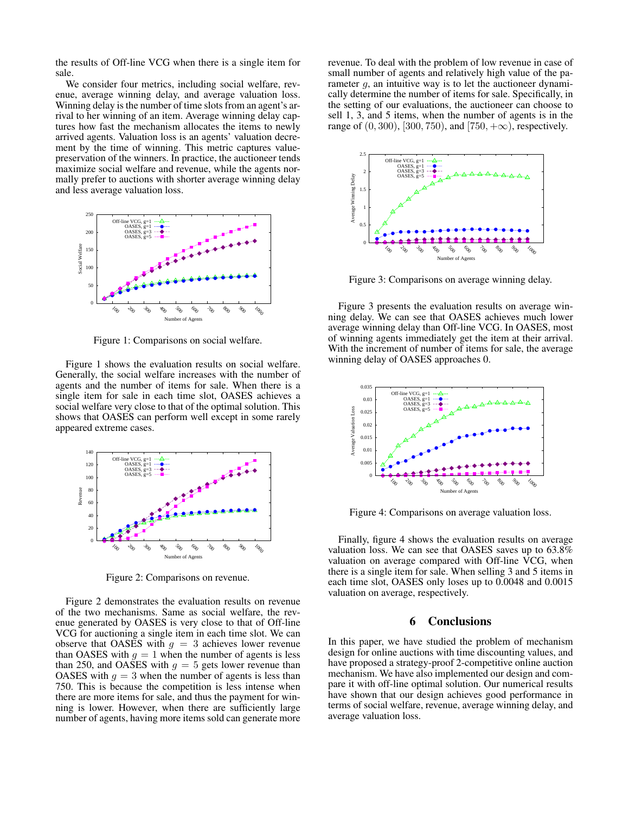the results of Off-line VCG when there is a single item for sale.

We consider four metrics, including social welfare, revenue, average winning delay, and average valuation loss. Winning delay is the number of time slots from an agent's arrival to her winning of an item. Average winning delay captures how fast the mechanism allocates the items to newly arrived agents. Valuation loss is an agents' valuation decrement by the time of winning. This metric captures valuepreservation of the winners. In practice, the auctioneer tends maximize social welfare and revenue, while the agents normally prefer to auctions with shorter average winning delay and less average valuation loss.



Figure 1: Comparisons on social welfare.

Figure 1 shows the evaluation results on social welfare. Generally, the social welfare increases with the number of agents and the number of items for sale. When there is a single item for sale in each time slot, OASES achieves a social welfare very close to that of the optimal solution. This shows that OASES can perform well except in some rarely appeared extreme cases.



Figure 2: Comparisons on revenue.

Figure 2 demonstrates the evaluation results on revenue of the two mechanisms. Same as social welfare, the revenue generated by OASES is very close to that of Off-line VCG for auctioning a single item in each time slot. We can observe that OASES with  $g = 3$  achieves lower revenue than OASES with  $g = 1$  when the number of agents is less than 250, and OASES with  $g = 5$  gets lower revenue than OASES with  $g = 3$  when the number of agents is less than 750. This is because the competition is less intense when there are more items for sale, and thus the payment for winning is lower. However, when there are sufficiently large number of agents, having more items sold can generate more

revenue. To deal with the problem of low revenue in case of small number of agents and relatively high value of the parameter  $q$ , an intuitive way is to let the auctioneer dynamically determine the number of items for sale. Specifically, in the setting of our evaluations, the auctioneer can choose to sell 1, 3, and 5 items, when the number of agents is in the range of  $(0, 300)$ , [300, 750), and [750, + $\infty$ ), respectively.



Figure 3: Comparisons on average winning delay.

Figure 3 presents the evaluation results on average winning delay. We can see that OASES achieves much lower average winning delay than Off-line VCG. In OASES, most of winning agents immediately get the item at their arrival. With the increment of number of items for sale, the average winning delay of OASES approaches 0.



Figure 4: Comparisons on average valuation loss.

Finally, figure 4 shows the evaluation results on average valuation loss. We can see that OASES saves up to 63.8% valuation on average compared with Off-line VCG, when there is a single item for sale. When selling 3 and 5 items in each time slot, OASES only loses up to 0.0048 and 0.0015 valuation on average, respectively.

# 6 Conclusions

In this paper, we have studied the problem of mechanism design for online auctions with time discounting values, and have proposed a strategy-proof 2-competitive online auction mechanism. We have also implemented our design and compare it with off-line optimal solution. Our numerical results have shown that our design achieves good performance in terms of social welfare, revenue, average winning delay, and average valuation loss.